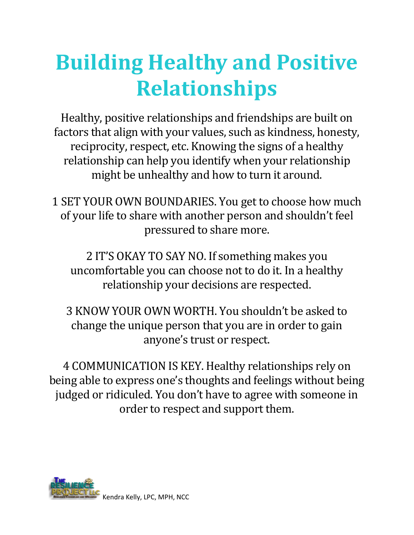## **Building Healthy and Positive Relationships**

Healthy, positive relationships and friendships are built on factors that align with your values, such as kindness, honesty, reciprocity, respect, etc. Knowing the signs of a healthy relationship can help you identify when your relationship might be unhealthy and how to turn it around.

1 SET YOUR OWN BOUNDARIES. You get to choose how much of your life to share with another person and shouldn't feel pressured to share more.

2 IT'S OKAY TO SAY NO. If something makes you uncomfortable you can choose not to do it. In a healthy relationship your decisions are respected.

3 KNOW YOUR OWN WORTH. You shouldn't be asked to change the unique person that you are in order to gain anyone's trust or respect.

4 COMMUNICATION IS KEY. Healthy relationships rely on being able to express one's thoughts and feelings without being judged or ridiculed. You don't have to agree with someone in order to respect and support them.